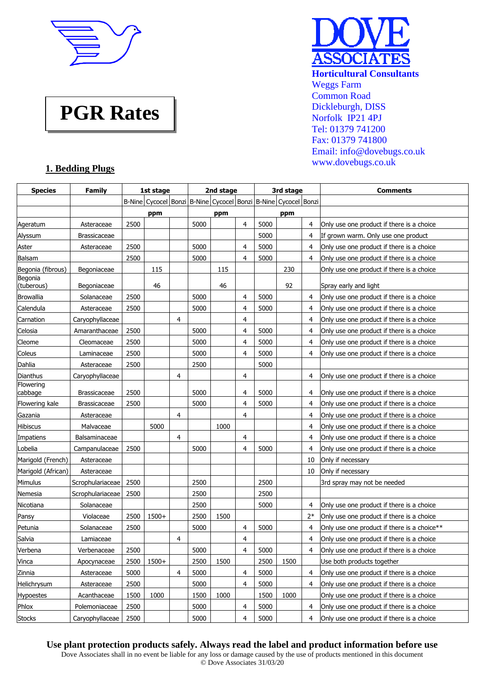

# **PGR Rates**



## **1. Bedding Plugs**

| <b>Species</b>        | <b>Family</b>       |      | 1st stage                                                                      |   |      | 2nd stage |   |      | 3rd stage |      | <b>Comments</b>                             |
|-----------------------|---------------------|------|--------------------------------------------------------------------------------|---|------|-----------|---|------|-----------|------|---------------------------------------------|
|                       |                     |      | B-Nine   Cycocel   Bonzi   B-Nine   Cycocel   Bonzi   B-Nine   Cycocel   Bonzi |   |      |           |   |      |           |      |                                             |
|                       |                     |      | ppm                                                                            |   |      | ppm       |   |      | ppm       |      |                                             |
| Ageratum              | Asteraceae          | 2500 |                                                                                |   | 5000 |           | 4 | 5000 |           | 4    | Only use one product if there is a choice   |
| Alyssum               | Brassicaceae        |      |                                                                                |   |      |           |   | 5000 |           | 4    | If grown warm. Only use one product         |
| Aster                 | Asteraceae          | 2500 |                                                                                |   | 5000 |           | 4 | 5000 |           | 4    | Only use one product if there is a choice   |
| Balsam                |                     | 2500 |                                                                                |   | 5000 |           | 4 | 5000 |           | 4    | Only use one product if there is a choice   |
| Begonia (fibrous)     | Begoniaceae         |      | 115                                                                            |   |      | 115       |   |      | 230       |      | Only use one product if there is a choice   |
| Begonia<br>(tuberous) | Begoniaceae         |      | 46                                                                             |   |      | 46        |   |      | 92        |      | Spray early and light                       |
| <b>Browallia</b>      | Solanaceae          | 2500 |                                                                                |   | 5000 |           | 4 | 5000 |           | 4    | Only use one product if there is a choice   |
| Calendula             | Asteraceae          | 2500 |                                                                                |   | 5000 |           | 4 | 5000 |           | 4    | Only use one product if there is a choice   |
| Carnation             | Caryophyllaceae     |      |                                                                                | 4 |      |           | 4 |      |           | 4    | Only use one product if there is a choice   |
| Celosia               | Amaranthaceae       | 2500 |                                                                                |   | 5000 |           | 4 | 5000 |           | 4    | Only use one product if there is a choice   |
| Cleome                | Cleomaceae          | 2500 |                                                                                |   | 5000 |           | 4 | 5000 |           | 4    | Only use one product if there is a choice   |
| Coleus                | Laminaceae          | 2500 |                                                                                |   | 5000 |           | 4 | 5000 |           | 4    | Only use one product if there is a choice   |
| Dahlia                | Asteraceae          | 2500 |                                                                                |   | 2500 |           |   | 5000 |           |      |                                             |
| <b>Dianthus</b>       | Caryophyllaceae     |      |                                                                                | 4 |      |           | 4 |      |           | 4    | Only use one product if there is a choice   |
| Flowering<br>cabbage  | <b>Brassicaceae</b> | 2500 |                                                                                |   | 5000 |           | 4 | 5000 |           | 4    | Only use one product if there is a choice   |
| Flowering kale        | Brassicaceae        | 2500 |                                                                                |   | 5000 |           | 4 | 5000 |           | 4    | Only use one product if there is a choice   |
| Gazania               | Asteraceae          |      |                                                                                | 4 |      |           | 4 |      |           | 4    | Only use one product if there is a choice   |
| <b>Hibiscus</b>       | Malvaceae           |      | 5000                                                                           |   |      | 1000      |   |      |           | 4    | Only use one product if there is a choice   |
| Impatiens             | Balsaminaceae       |      |                                                                                | 4 |      |           | 4 |      |           | 4    | Only use one product if there is a choice   |
| Lobelia               | Campanulaceae       | 2500 |                                                                                |   | 5000 |           | 4 | 5000 |           | 4    | Only use one product if there is a choice   |
| Marigold (French)     | Asteraceae          |      |                                                                                |   |      |           |   |      |           | 10   | Only if necessary                           |
| Marigold (African)    | Asteraceae          |      |                                                                                |   |      |           |   |      |           | 10   | Only if necessary                           |
| Mimulus               | Scrophulariaceae    | 2500 |                                                                                |   | 2500 |           |   | 2500 |           |      | 3rd spray may not be needed                 |
| Nemesia               | Scrophulariaceae    | 2500 |                                                                                |   | 2500 |           |   | 2500 |           |      |                                             |
| Nicotiana             | Solanaceae          |      |                                                                                |   | 2500 |           |   | 5000 |           | 4    | Only use one product if there is a choice   |
| Pansy                 | Violaceae           | 2500 | $1500+$                                                                        |   | 2500 | 1500      |   |      |           | $2*$ | Only use one product if there is a choice   |
| Petunia               | Solanaceae          | 2500 |                                                                                |   | 5000 |           | 4 | 5000 |           | 4    | Only use one product if there is a choice** |
| Salvia                | Lamiaceae           |      |                                                                                | 4 |      |           | 4 |      |           | 4    | Only use one product if there is a choice   |
| Verbena               | Verbenaceae         | 2500 |                                                                                |   | 5000 |           | 4 | 5000 |           | 4    | Only use one product if there is a choice   |
| Vinca                 | Apocynaceae         | 2500 | $1500+$                                                                        |   | 2500 | 1500      |   | 2500 | 1500      |      | Use both products together                  |
| Zinnia                | Asteraceae          | 5000 |                                                                                | 4 | 5000 |           | 4 | 5000 |           | 4    | Only use one product if there is a choice   |
| Helichrysum           | Asteraceae          | 2500 |                                                                                |   | 5000 |           | 4 | 5000 |           | 4    | Only use one product if there is a choice   |
| <b>Hypoestes</b>      | Acanthaceae         | 1500 | 1000                                                                           |   | 1500 | 1000      |   | 1500 | 1000      |      | Only use one product if there is a choice   |
| Phlox                 | Polemoniaceae       | 2500 |                                                                                |   | 5000 |           | 4 | 5000 |           | 4    | Only use one product if there is a choice   |
| <b>Stocks</b>         | Caryophyllaceae     | 2500 |                                                                                |   | 5000 |           | 4 | 5000 |           | 4    | Only use one product if there is a choice   |

## **Use plant protection products safely. Always read the label and product information before use**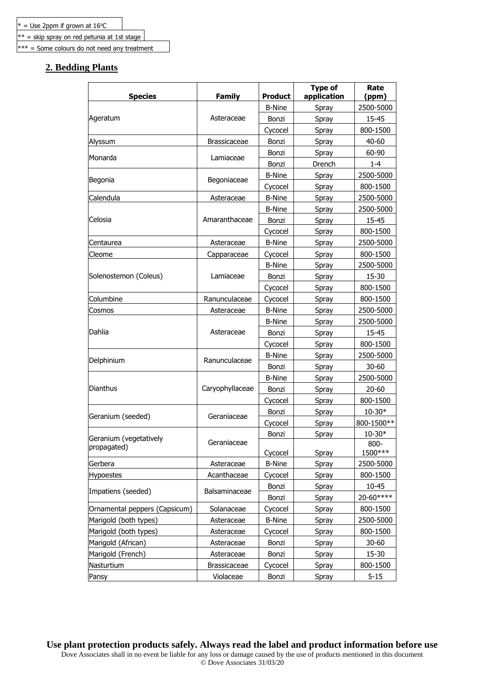$**$  = skip spray on red petunia at 1st stage

\*\*\* = Some colours do not need any treatment

## **2. Bedding Plants**

| <b>Species</b>                | <b>Family</b>       | <b>Product</b> | <b>Type of</b><br>application | Rate<br>(ppm)      |
|-------------------------------|---------------------|----------------|-------------------------------|--------------------|
|                               |                     | <b>B-Nine</b>  | Spray                         | 2500-5000          |
| Ageratum                      | Asteraceae          | Bonzi          | Spray                         | 15-45              |
|                               |                     | Cycocel        | Spray                         | 800-1500           |
| Alyssum                       | <b>Brassicaceae</b> | Bonzi          | Spray                         | 40-60              |
|                               |                     | Bonzi          | Spray                         | 60-90              |
| Monarda                       | Lamiaceae           | Bonzi          | Drench                        | $1 - 4$            |
|                               |                     | <b>B-Nine</b>  | Spray                         | 2500-5000          |
| Begonia                       | Begoniaceae         | Cycocel        | Spray                         | 800-1500           |
| Calendula                     | Asteraceae          | <b>B-Nine</b>  | Spray                         | 2500-5000          |
|                               |                     | <b>B-Nine</b>  | Spray                         | 2500-5000          |
| Celosia                       | Amaranthaceae       | Bonzi          | Spray                         | 15-45              |
|                               |                     | Cycocel        | Spray                         | 800-1500           |
| Centaurea                     | Asteraceae          | <b>B-Nine</b>  | Spray                         | 2500-5000          |
| Cleome                        | Capparaceae         | Cycocel        | Spray                         | 800-1500           |
|                               |                     | <b>B-Nine</b>  | Spray                         | 2500-5000          |
| Solenostemon (Coleus)         | Lamiaceae           | Bonzi          | Spray                         | 15-30              |
|                               |                     | Cycocel        | Spray                         | 800-1500           |
| Columbine                     | Ranunculaceae       | Cycocel        | Spray                         | 800-1500           |
| Cosmos                        | Asteraceae          | <b>B-Nine</b>  | Spray                         | 2500-5000          |
|                               |                     | <b>B-Nine</b>  | Spray                         | 2500-5000          |
| Dahlia                        | Asteraceae          | Bonzi          | Spray                         | 15-45              |
|                               |                     | Cycocel        | Spray                         | 800-1500           |
|                               |                     | <b>B-Nine</b>  | Spray                         | 2500-5000          |
| Delphinium                    | Ranunculaceae       | Bonzi          | Spray                         | 30-60              |
|                               |                     | <b>B-Nine</b>  | Spray                         | 2500-5000          |
| Dianthus                      | Caryophyllaceae     | Bonzi          | Spray                         | $20 - 60$          |
|                               |                     | Cycocel        | Spray                         | 800-1500           |
| Geranium (seeded)             | Geraniaceae         | Bonzi          | Spray                         | $10 - 30*$         |
|                               |                     | Cycocel        | Spray                         | 800-1500**         |
| Geranium (vegetatively        |                     | Bonzi          | Spray                         | $10 - 30*$         |
| propagated)                   | Geraniaceae         | Cycocel        | Spray                         | $800 -$<br>1500*** |
| Gerbera                       | Asteraceae          | <b>B-Nine</b>  | Spray                         | 2500-5000          |
| <b>Hypoestes</b>              | Acanthaceae         | Cycocel        | Spray                         | 800-1500           |
| Impatiens (seeded)            | Balsaminaceae       | Bonzi          | Spray                         | $10 - 45$          |
|                               |                     | Bonzi          | Spray                         | 20-60****          |
| Ornamental peppers (Capsicum) | Solanaceae          | Cycocel        | Spray                         | 800-1500           |
| Marigold (both types)         | Asteraceae          | <b>B-Nine</b>  | Spray                         | 2500-5000          |
| Marigold (both types)         | Asteraceae          | Cycocel        | Spray                         | 800-1500           |
| Marigold (African)            | Asteraceae          | Bonzi          | Spray                         | $30 - 60$          |
| Marigold (French)             | Asteraceae          | Bonzi          | Spray                         | 15-30              |
| Nasturtium                    | Brassicaceae        | Cycocel        | Spray                         | 800-1500           |
| Pansy                         | Violaceae           | Bonzi          | Spray                         | $5 - 15$           |

**Use plant protection products safely. Always read the label and product information before use** Dove Associates shall in no event be liable for any loss or damage caused by the use of products mentioned in this document © Dove Associates 31/03/20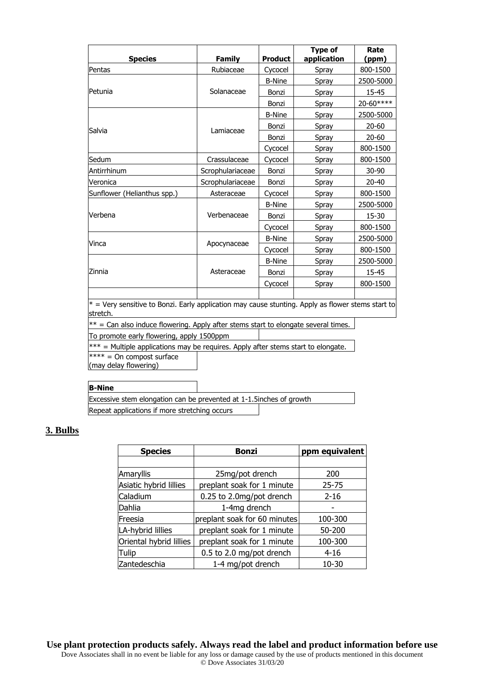| <b>Species</b>                                                                                                  | <b>Family</b>    | <b>Product</b> | <b>Type of</b><br>application | Rate<br>(ppm) |
|-----------------------------------------------------------------------------------------------------------------|------------------|----------------|-------------------------------|---------------|
| Pentas                                                                                                          | Rubiaceae        | Cycocel        | Spray                         | 800-1500      |
|                                                                                                                 |                  | <b>B-Nine</b>  | Spray                         | 2500-5000     |
| Petunia                                                                                                         | Solanaceae       | Bonzi          | Spray                         | 15-45         |
|                                                                                                                 |                  | Bonzi          | Spray                         | 20-60****     |
|                                                                                                                 |                  | <b>B-Nine</b>  | Spray                         | 2500-5000     |
| Salvia                                                                                                          | Lamiaceae        | Bonzi          | Spray                         | $20 - 60$     |
|                                                                                                                 |                  | Bonzi          | Spray                         | $20 - 60$     |
|                                                                                                                 |                  | Cycocel        | Spray                         | 800-1500      |
| Sedum                                                                                                           | Crassulaceae     | Cycocel        | Spray                         | 800-1500      |
| Antirrhinum                                                                                                     | Scrophulariaceae | Bonzi          | Spray                         | 30-90         |
| Veronica                                                                                                        | Scrophulariaceae | Bonzi          | Spray                         | $20 - 40$     |
| Sunflower (Helianthus spp.)                                                                                     | Asteraceae       | Cycocel        | Spray                         | 800-1500      |
|                                                                                                                 |                  | <b>B-Nine</b>  | Spray                         | 2500-5000     |
| Verbena                                                                                                         | Verbenaceae      | Bonzi          | Spray                         | 15-30         |
|                                                                                                                 |                  | Cycocel        | Spray                         | 800-1500      |
| Vinca                                                                                                           | Apocynaceae      | <b>B-Nine</b>  | Spray                         | 2500-5000     |
|                                                                                                                 |                  | Cycocel        | Spray                         | 800-1500      |
|                                                                                                                 |                  | <b>B-Nine</b>  | Spray                         | 2500-5000     |
| Zinnia                                                                                                          | Asteraceae       | Bonzi          | Spray                         | 15-45         |
|                                                                                                                 |                  | Cycocel        | Spray                         | 800-1500      |
|                                                                                                                 |                  |                |                               |               |
| $*$ = Very sensitive to Bonzi. Early application may cause stunting. Apply as flower stems start to<br>stretch. |                  |                |                               |               |
| $**$ = Can also induce flowering. Apply after stems start to elongate several times.                            |                  |                |                               |               |
| To promote early flowering, apply 1500ppm                                                                       |                  |                |                               |               |
| $\ast\ast\ast$ = Multiple applications may be requires. Apply after stems start to elongate.                    |                  |                |                               |               |
| $*** = On$ compost surface<br>(may delay flowering)                                                             |                  |                |                               |               |

| <b>B-Nine</b>                                                        |  |  |  |  |  |
|----------------------------------------------------------------------|--|--|--|--|--|
| Excessive stem elongation can be prevented at 1-1.5 inches of growth |  |  |  |  |  |
| Repeat applications if more stretching occurs                        |  |  |  |  |  |

# **3. Bulbs**

| <b>Species</b>          | <b>Bonzi</b>                 | ppm equivalent |  |
|-------------------------|------------------------------|----------------|--|
|                         |                              |                |  |
| Amaryllis               | 200                          |                |  |
| Asiatic hybrid lillies  | preplant soak for 1 minute   | $25 - 75$      |  |
| Caladium                | 0.25 to 2.0mg/pot drench     | $2 - 16$       |  |
| Dahlia                  | 1-4mg drench                 |                |  |
| Freesia                 | preplant soak for 60 minutes | 100-300        |  |
| LA-hybrid lillies       | preplant soak for 1 minute   | 50-200         |  |
| Oriental hybrid lillies | preplant soak for 1 minute   | 100-300        |  |
| Tulip                   | $4 - 16$                     |                |  |
| Zantedeschia            | 1-4 mg/pot drench            | 10-30          |  |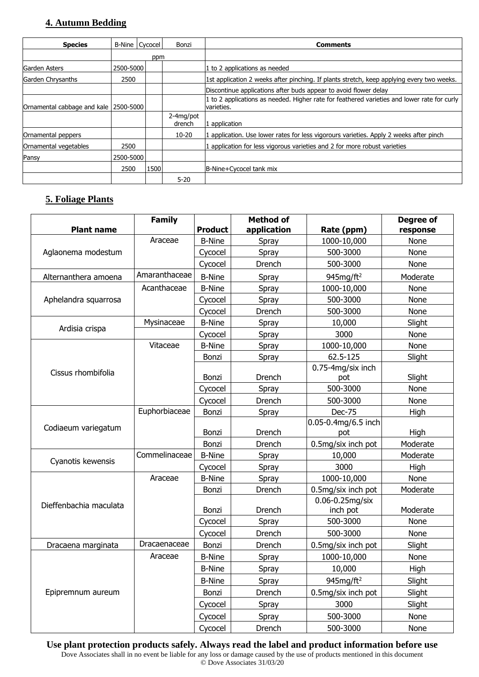## **4. Autumn Bedding**

| <b>Species</b>                          | <b>B-Nine Cycocel</b> |           | Bonzi               | <b>Comments</b>                                                                                           |
|-----------------------------------------|-----------------------|-----------|---------------------|-----------------------------------------------------------------------------------------------------------|
|                                         |                       | ppm       |                     |                                                                                                           |
| lGarden Asters                          |                       | 2500-5000 |                     | 1 to 2 applications as needed                                                                             |
| Garden Chrysanths                       | 2500                  |           |                     | 1st application 2 weeks after pinching. If plants stretch, keep applying every two weeks.                 |
|                                         |                       |           |                     | Discontinue applications after buds appear to avoid flower delay                                          |
| Ornamental cabbage and kale   2500-5000 |                       |           |                     | 1 to 2 applications as needed. Higher rate for feathered varieties and lower rate for curly<br>varieties. |
|                                         |                       |           | 2-4mg/pot<br>drench | application                                                                                               |
| Ornamental peppers                      |                       |           | $10 - 20$           | . application. Use lower rates for less vigorours varieties. Apply 2 weeks after pinch                    |
| Ornamental vegetables                   | 2500                  |           |                     | application for less vigorous varieties and 2 for more robust varieties                                   |
| Pansy                                   | 2500-5000             |           |                     |                                                                                                           |
|                                         | 2500                  | 1500      |                     | B-Nine+Cycocel tank mix                                                                                   |
|                                         |                       |           | $5 - 20$            |                                                                                                           |

# **5. Foliage Plants**

|                        | <b>Family</b> |                | <b>Method of</b> |                            | <b>Degree of</b> |
|------------------------|---------------|----------------|------------------|----------------------------|------------------|
| <b>Plant name</b>      |               | <b>Product</b> | application      | Rate (ppm)                 | response         |
|                        | Araceae       | <b>B-Nine</b>  | Spray            | 1000-10,000                | None             |
| Aglaonema modestum     |               | Cycocel        | Spray            | 500-3000                   | None             |
|                        |               | Cycocel        | Drench           | 500-3000                   | None             |
| Alternanthera amoena   | Amaranthaceae | <b>B-Nine</b>  | Spray            | 945 $mg/ft^2$              | Moderate         |
|                        | Acanthaceae   | <b>B-Nine</b>  | Spray            | 1000-10,000                | None             |
| Aphelandra squarrosa   |               | Cycocel        | Spray            | 500-3000                   | None             |
|                        |               | Cycocel        | Drench           | 500-3000                   | None             |
| Ardisia crispa         | Mysinaceae    | <b>B-Nine</b>  | Spray            | 10,000                     | Slight           |
|                        |               | Cycocel        | Spray            | 3000                       | None             |
|                        | Vitaceae      | <b>B-Nine</b>  | Spray            | 1000-10,000                | None             |
|                        |               | Bonzi          | Spray            | 62.5-125                   | Slight           |
| Cissus rhombifolia     |               |                |                  | 0.75-4mg/six inch          |                  |
|                        |               | Bonzi          | Drench           | pot                        | Slight           |
|                        |               | Cycocel        | Spray            | 500-3000                   | None             |
|                        |               | Cycocel        | Drench           | 500-3000                   | None             |
|                        | Euphorbiaceae | Bonzi          | Spray            | <b>Dec-75</b>              | High             |
| Codiaeum variegatum    |               | Bonzi          | Drench           | 0.05-0.4mg/6.5 inch<br>pot | High             |
|                        |               | Bonzi          | Drench           | 0.5mg/six inch pot         | Moderate         |
|                        | Commelinaceae | <b>B-Nine</b>  | Spray            | 10,000                     | Moderate         |
| Cyanotis kewensis      |               | Cycocel        | Spray            | 3000                       | High             |
|                        | Araceae       | <b>B-Nine</b>  | Spray            | 1000-10,000                | None             |
|                        |               | Bonzi          | Drench           | 0.5mg/six inch pot         | Moderate         |
| Dieffenbachia maculata |               |                |                  | 0.06-0.25mg/six            |                  |
|                        |               | Bonzi          | Drench           | inch pot                   | Moderate         |
|                        |               | Cycocel        | Spray            | 500-3000                   | None             |
|                        |               | Cycocel        | Drench           | 500-3000                   | None             |
| Dracaena marginata     | Dracaenaceae  | Bonzi          | Drench           | 0.5mg/six inch pot         | Slight           |
|                        | Araceae       | <b>B-Nine</b>  | Spray            | 1000-10,000                | None             |
|                        |               | <b>B-Nine</b>  | Spray            | 10,000                     | High             |
|                        |               | <b>B-Nine</b>  | Spray            | 945mg/ft <sup>2</sup>      | Slight           |
| Epipremnum aureum      |               | Bonzi          | Drench           | 0.5mg/six inch pot         | Slight           |
|                        |               | Cycocel        | Spray            | 3000                       | Slight           |
|                        |               | Cycocel        | Spray            | 500-3000                   | None             |
|                        |               | Cycocel        | Drench           | 500-3000                   | None             |

**Use plant protection products safely. Always read the label and product information before use**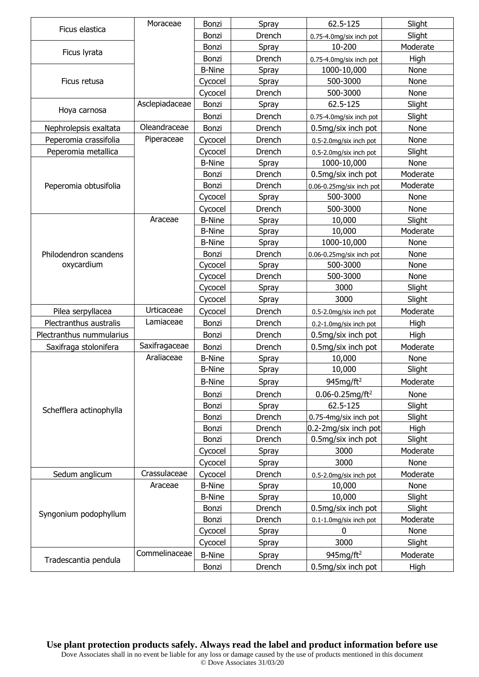|                          | Moraceae       | Bonzi         | Spray  | 62.5-125                         | Slight   |
|--------------------------|----------------|---------------|--------|----------------------------------|----------|
| Ficus elastica           |                | Bonzi         | Drench | 0.75-4.0mg/six inch pot          | Slight   |
|                          |                | Bonzi         | Spray  | 10-200                           | Moderate |
| Ficus lyrata             |                | Bonzi         | Drench | 0.75-4.0mg/six inch pot          | High     |
|                          |                | <b>B-Nine</b> | Spray  | 1000-10,000                      | None     |
| Ficus retusa             |                | Cycocel       | Spray  | 500-3000                         | None     |
|                          |                | Cycocel       | Drench | 500-3000                         | None     |
|                          | Asclepiadaceae | Bonzi         | Spray  | 62.5-125                         | Slight   |
| Hoya carnosa             |                | Bonzi         | Drench | 0.75-4.0mg/six inch pot          | Slight   |
| Nephrolepsis exaltata    | Oleandraceae   | Bonzi         | Drench | 0.5mg/six inch pot               | None     |
| Peperomia crassifolia    | Piperaceae     | Cycocel       | Drench | 0.5-2.0mg/six inch pot           | None     |
| Peperomia metallica      |                | Cycocel       | Drench | 0.5-2.0mg/six inch pot           | Slight   |
|                          |                | <b>B-Nine</b> | Spray  | 1000-10,000                      | None     |
|                          |                | Bonzi         | Drench | 0.5mg/six inch pot               | Moderate |
| Peperomia obtusifolia    |                | Bonzi         | Drench | 0.06-0.25mg/six inch pot         | Moderate |
|                          |                | Cycocel       | Spray  | 500-3000                         | None     |
|                          |                | Cycocel       | Drench | 500-3000                         | None     |
|                          | Araceae        | <b>B-Nine</b> | Spray  | 10,000                           | Slight   |
|                          |                | <b>B-Nine</b> | Spray  | 10,000                           | Moderate |
|                          |                | <b>B-Nine</b> | Spray  | 1000-10,000                      | None     |
| Philodendron scandens    |                | Bonzi         | Drench | 0.06-0.25mg/six inch pot         | None     |
| oxycardium               |                | Cycocel       | Spray  | 500-3000                         | None     |
|                          |                | Cycocel       | Drench | 500-3000                         | None     |
|                          |                | Cycocel       | Spray  | 3000                             | Slight   |
|                          |                | Cycocel       | Spray  | 3000                             | Slight   |
| Pilea serpyllacea        | Urticaceae     | Cycocel       | Drench | 0.5-2.0mg/six inch pot           | Moderate |
| Plectranthus australis   | Lamiaceae      | Bonzi         | Drench | 0.2-1.0mg/six inch pot           | High     |
| Plectranthus nummularius |                | Bonzi         | Drench | 0.5mg/six inch pot               | High     |
| Saxifraga stolonifera    | Saxifragaceae  | Bonzi         | Drench | 0.5mg/six inch pot               | Moderate |
|                          | Araliaceae     | <b>B-Nine</b> | Spray  | 10,000                           | None     |
|                          |                | <b>B-Nine</b> | Spray  | 10,000                           | Slight   |
|                          |                | <b>B-Nine</b> | Spray  | 945mg/ft <sup>2</sup>            | Moderate |
|                          |                | Bonzi         | Drench | $0.06 - 0.25$ mg/ft <sup>2</sup> | None     |
|                          |                | Bonzi         | Spray  | 62.5-125                         | Slight   |
| Schefflera actinophylla  |                | Bonzi         | Drench | 0.75-4mg/six inch pot            | Slight   |
|                          |                | Bonzi         | Drench | 0.2-2mg/six inch pot             | High     |
|                          |                | Bonzi         | Drench | 0.5mg/six inch pot               | Slight   |
|                          |                | Cycocel       | Spray  | 3000                             | Moderate |
|                          |                | Cycocel       | Spray  | 3000                             | None     |
| Sedum anglicum           | Crassulaceae   | Cycocel       | Drench | 0.5-2.0mg/six inch pot           | Moderate |
|                          | Araceae        | <b>B-Nine</b> | Spray  | 10,000                           | None     |
|                          |                | <b>B-Nine</b> | Spray  | 10,000                           | Slight   |
|                          |                | Bonzi         | Drench | 0.5mg/six inch pot               | Slight   |
| Syngonium podophyllum    |                | Bonzi         | Drench | 0.1-1.0mg/six inch pot           | Moderate |
|                          |                | Cycocel       | Spray  | 0                                | None     |
|                          |                | Cycocel       | Spray  | 3000                             | Slight   |
|                          | Commelinaceae  | <b>B-Nine</b> | Spray  | $945$ mg/ft <sup>2</sup>         | Moderate |
| Tradescantia pendula     |                | Bonzi         | Drench | 0.5mg/six inch pot               | High     |

**Use plant protection products safely. Always read the label and product information before use** Dove Associates shall in no event be liable for any loss or damage caused by the use of products mentioned in this document © Dove Associates 31/03/20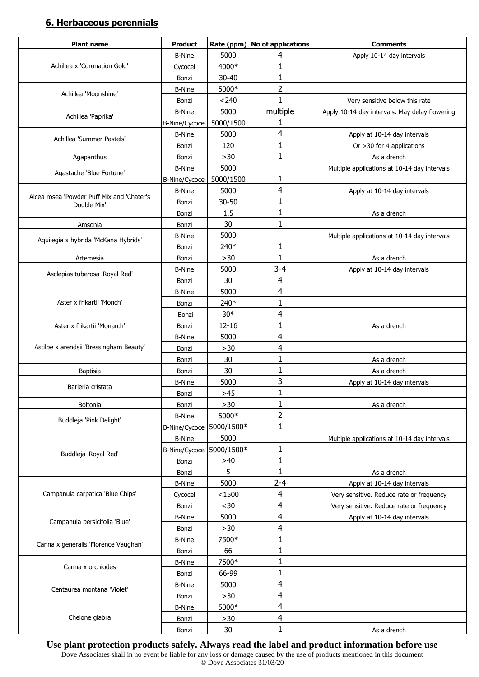## **6. Herbaceous perennials**

| <b>Plant name</b>                                         | <b>Product</b>            | Rate (ppm)    | No of applications      | <b>Comments</b>                                |
|-----------------------------------------------------------|---------------------------|---------------|-------------------------|------------------------------------------------|
|                                                           | <b>B-Nine</b>             | 5000          | 4                       | Apply 10-14 day intervals                      |
| Achillea x 'Coronation Gold'                              | Cycocel                   | 4000*         | 1                       |                                                |
|                                                           | Bonzi                     | $30 - 40$     | 1                       |                                                |
| Achillea 'Moonshine'                                      | <b>B-Nine</b>             | 5000*         | 2                       |                                                |
|                                                           | Bonzi                     | < 240         | 1                       | Very sensitive below this rate                 |
| Achillea 'Paprika'                                        | <b>B-Nine</b>             | 5000          | multiple                | Apply 10-14 day intervals. May delay flowering |
|                                                           | B-Nine/Cycocel            | 5000/1500     | 1                       |                                                |
| Achillea 'Summer Pastels'                                 | <b>B-Nine</b>             | 5000          | 4                       | Apply at 10-14 day intervals                   |
|                                                           | Bonzi                     | 120           | 1                       | Or $>30$ for 4 applications                    |
| Agapanthus                                                | Bonzi                     | $>30$         | 1                       | As a drench                                    |
| Agastache 'Blue Fortune'                                  | <b>B-Nine</b>             | 5000          |                         | Multiple applications at 10-14 day intervals   |
|                                                           | B-Nine/Cycocel            | 5000/1500     | 1                       |                                                |
|                                                           | <b>B-Nine</b>             | 5000          | 4                       | Apply at 10-14 day intervals                   |
| Alcea rosea 'Powder Puff Mix and 'Chater's<br>Double Mix' | Bonzi                     | $30 - 50$     | 1                       |                                                |
|                                                           | Bonzi                     | 1.5           | 1                       | As a drench                                    |
| Amsonia                                                   | Bonzi                     | 30            | 1                       |                                                |
|                                                           | <b>B-Nine</b>             | 5000          |                         | Multiple applications at 10-14 day intervals   |
| Aquilegia x hybrida 'McKana Hybrids'                      | Bonzi                     | 240*          | 1                       |                                                |
| Artemesia                                                 | Bonzi                     | $>30$         | 1                       | As a drench                                    |
|                                                           | <b>B-Nine</b>             | 5000          | $3 - 4$                 | Apply at 10-14 day intervals                   |
| Asclepias tuberosa 'Royal Red'                            | Bonzi                     | 30            | 4                       |                                                |
|                                                           | <b>B-Nine</b>             | 5000          | 4                       |                                                |
| Aster x frikartii 'Monch'                                 | Bonzi                     | 240*          | $\mathbf{1}$            |                                                |
|                                                           | Bonzi                     | $30*$         | 4                       |                                                |
| Aster x frikartii 'Monarch'                               | Bonzi                     | $12 - 16$     | 1                       | As a drench                                    |
|                                                           | <b>B-Nine</b>             | 5000          | 4                       |                                                |
| Astilbe x arendsii 'Bressingham Beauty'                   | Bonzi                     | $>30$         | 4                       |                                                |
|                                                           | Bonzi                     | 30            | 1                       | As a drench                                    |
| <b>Baptisia</b>                                           | Bonzi                     | 30            | 1                       | As a drench                                    |
|                                                           | <b>B-Nine</b>             | 5000          | 3                       | Apply at 10-14 day intervals                   |
| Barleria cristata                                         | Bonzi                     | $>45$         | 1                       |                                                |
| Boltonia                                                  | Bonzi                     | $>30$         | 1                       | As a drench                                    |
|                                                           | <b>B-Nine</b>             | 5000*         | 2                       |                                                |
| Buddleja 'Pink Delight'                                   | B-Nine/Cycocel 5000/1500* |               | 1                       |                                                |
|                                                           | <b>B-Nine</b>             | 5000          |                         | Multiple applications at 10-14 day intervals   |
|                                                           | B-Nine/Cycocel 5000/1500* |               | 1                       |                                                |
| Buddleja 'Royal Red'                                      | Bonzi                     | >40           | $\mathbf{1}$            |                                                |
|                                                           | Bonzi                     | 5             | 1                       | As a drench                                    |
|                                                           | <b>B-Nine</b>             | 5000          | $2 - 4$                 | Apply at 10-14 day intervals                   |
| Campanula carpatica 'Blue Chips'                          | Cycocel                   | < 1500        | 4                       | Very sensitive. Reduce rate or frequency       |
|                                                           | Bonzi                     | $30$          | 4                       | Very sensitive. Reduce rate or frequency       |
|                                                           | <b>B-Nine</b>             | 5000          | $\overline{4}$          | Apply at 10-14 day intervals                   |
| Campanula persicifolia 'Blue'                             | Bonzi                     | $>30$         | 4                       |                                                |
|                                                           | <b>B-Nine</b>             | 7500*         | 1                       |                                                |
| Canna x generalis 'Florence Vaughan'                      | Bonzi                     | 66            | 1                       |                                                |
|                                                           | <b>B-Nine</b>             | 7500*         | 1                       |                                                |
| Canna x orchiodes                                         | Bonzi                     | 66-99         | 1                       |                                                |
|                                                           |                           |               | $\overline{4}$          |                                                |
| Centaurea montana 'Violet'                                | <b>B-Nine</b>             | 5000<br>$>30$ | 4                       |                                                |
|                                                           | Bonzi                     | 5000*         | $\overline{\mathbf{4}}$ |                                                |
| Chelone glabra                                            | <b>B-Nine</b>             |               | $\overline{\mathbf{4}}$ |                                                |
|                                                           | Bonzi                     | $>30$         | 1                       |                                                |
|                                                           | Bonzi                     | 30            |                         | As a drench                                    |

**Use plant protection products safely. Always read the label and product information before use**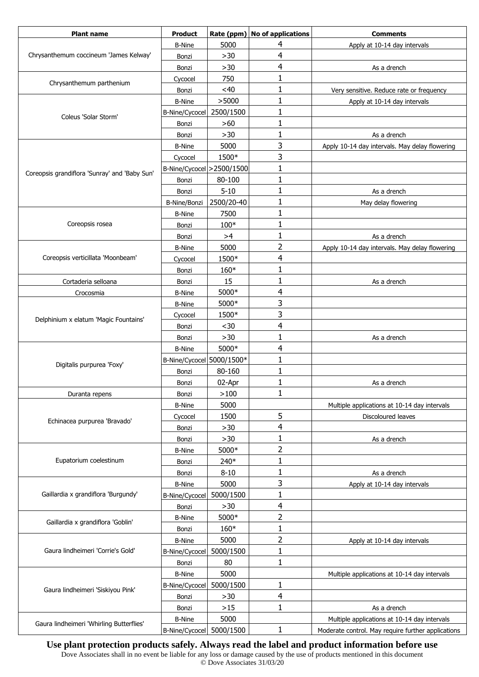| <b>Plant name</b>                             | <b>Product</b>             | Rate (ppm) | <b>No of applications</b> | <b>Comments</b>                                    |
|-----------------------------------------------|----------------------------|------------|---------------------------|----------------------------------------------------|
|                                               | <b>B-Nine</b>              | 5000       | 4                         | Apply at 10-14 day intervals                       |
| Chrysanthemum coccineum 'James Kelway'        | Bonzi                      | $>30$      | 4                         |                                                    |
|                                               | Bonzi                      | $>30$      | $\overline{4}$            | As a drench                                        |
| Chrysanthemum parthenium                      | Cycocel                    | 750        | 1                         |                                                    |
|                                               | Bonzi                      | $<$ 40     | 1                         | Very sensitive. Reduce rate or frequency           |
|                                               | <b>B-Nine</b>              | >5000      | 1                         | Apply at 10-14 day intervals                       |
| Coleus 'Solar Storm'                          | B-Nine/Cycocel             | 2500/1500  | 1                         |                                                    |
|                                               | Bonzi                      | >60        | 1                         |                                                    |
|                                               | Bonzi                      | $>30$      | 1                         | As a drench                                        |
|                                               | <b>B-Nine</b>              | 5000       | 3                         | Apply 10-14 day intervals. May delay flowering     |
|                                               | Cycocel                    | 1500*      | 3                         |                                                    |
| Coreopsis grandiflora 'Sunray' and 'Baby Sun' | B-Nine/Cycocel > 2500/1500 |            | 1                         |                                                    |
|                                               | Bonzi                      | 80-100     | 1                         |                                                    |
|                                               | Bonzi                      | $5 - 10$   | 1                         | As a drench                                        |
|                                               | <b>B-Nine/Bonzi</b>        | 2500/20-40 | 1                         | May delay flowering                                |
|                                               | <b>B-Nine</b>              | 7500       | 1                         |                                                    |
| Coreopsis rosea                               | Bonzi                      | $100*$     | 1                         |                                                    |
|                                               | Bonzi                      | >4         | 1                         | As a drench                                        |
|                                               | <b>B-Nine</b>              | 5000       | 2                         | Apply 10-14 day intervals. May delay flowering     |
| Coreopsis verticillata 'Moonbeam'             | Cycocel                    | 1500*      | 4                         |                                                    |
|                                               | Bonzi                      | 160*       | $\mathbf{1}$              |                                                    |
| Cortaderia selloana                           | Bonzi                      | 15         | 1                         | As a drench                                        |
| Crocosmia                                     | <b>B-Nine</b>              | 5000*      | 4                         |                                                    |
|                                               | <b>B-Nine</b>              | 5000*      | 3                         |                                                    |
|                                               | Cycocel                    | 1500*      | 3                         |                                                    |
| Delphinium x elatum 'Magic Fountains'         | Bonzi                      | $30$       | 4                         |                                                    |
|                                               | Bonzi                      | $>30$      | $\mathbf{1}$              | As a drench                                        |
|                                               | <b>B-Nine</b>              | 5000*      | 4                         |                                                    |
|                                               | B-Nine/Cycocel 5000/1500*  |            | 1                         |                                                    |
| Digitalis purpurea 'Foxy'                     | Bonzi                      | 80-160     | 1                         |                                                    |
|                                               | Bonzi                      | 02-Apr     | 1                         | As a drench                                        |
| Duranta repens                                | Bonzi                      | >100       | 1                         |                                                    |
|                                               | <b>B-Nine</b>              | 5000       |                           | Multiple applications at 10-14 day intervals       |
|                                               | Cycocel                    | 1500       | 5                         | Discoloured leaves                                 |
| Echinacea purpurea 'Bravado'                  | Bonzi                      | $>30$      | 4                         |                                                    |
|                                               | Bonzi                      | $>30$      | 1                         | As a drench                                        |
|                                               | <b>B-Nine</b>              | 5000*      | 2                         |                                                    |
| Eupatorium coelestinum                        | Bonzi                      | 240*       | 1                         |                                                    |
|                                               | Bonzi                      | $8 - 10$   | 1                         | As a drench                                        |
|                                               | <b>B-Nine</b>              | 5000       | 3                         | Apply at 10-14 day intervals                       |
| Gaillardia x grandiflora 'Burgundy'           | B-Nine/Cycocel             | 5000/1500  | 1                         |                                                    |
|                                               | Bonzi                      | $>30$      | $\overline{4}$            |                                                    |
|                                               | <b>B-Nine</b>              | 5000*      | 2                         |                                                    |
| Gaillardia x grandiflora 'Goblin'             | Bonzi                      | 160*       | 1                         |                                                    |
|                                               | <b>B-Nine</b>              | 5000       | 2                         | Apply at 10-14 day intervals                       |
| Gaura lindheimeri 'Corrie's Gold'             | B-Nine/Cycocel             | 5000/1500  | 1                         |                                                    |
|                                               | Bonzi                      | 80         | 1                         |                                                    |
|                                               | <b>B-Nine</b>              | 5000       |                           | Multiple applications at 10-14 day intervals       |
|                                               | <b>B-Nine/Cycocel</b>      | 5000/1500  | 1                         |                                                    |
| Gaura lindheimeri 'Siskiyou Pink'             | Bonzi                      | $>30$      | $\overline{\mathbf{r}}$   |                                                    |
|                                               | Bonzi                      | $>15$      | 1                         | As a drench                                        |
|                                               | <b>B-Nine</b>              | 5000       |                           | Multiple applications at 10-14 day intervals       |
| Gaura lindheimeri 'Whirling Butterflies'      | B-Nine/Cycocel             | 5000/1500  | 1                         | Moderate control. May require further applications |

**Use plant protection products safely. Always read the label and product information before use**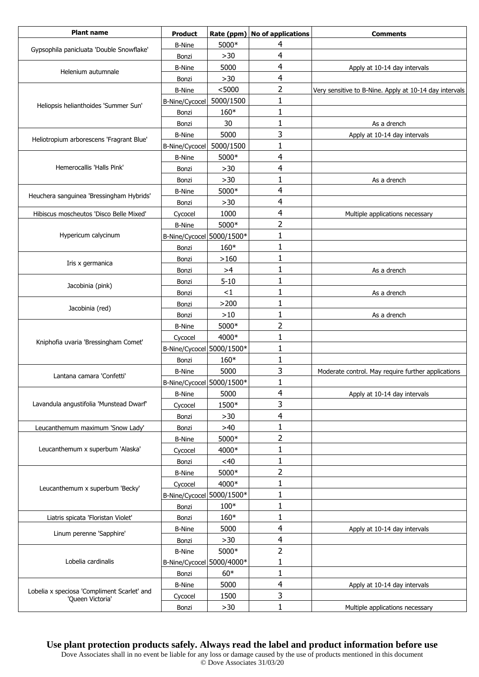| <b>Plant name</b>                                               | <b>Product</b>            | Rate (ppm) | No of applications | <b>Comments</b>                                        |
|-----------------------------------------------------------------|---------------------------|------------|--------------------|--------------------------------------------------------|
|                                                                 | <b>B-Nine</b>             | 5000*      | 4                  |                                                        |
| Gypsophila panicluata 'Double Snowflake'                        | Bonzi                     | $>30$      | 4                  |                                                        |
|                                                                 | <b>B-Nine</b>             | 5000       | 4                  | Apply at 10-14 day intervals                           |
| Helenium autumnale                                              | Bonzi                     | $>30$      | 4                  |                                                        |
|                                                                 | <b>B-Nine</b>             | < 5000     | 2                  | Very sensitive to B-Nine. Apply at 10-14 day intervals |
|                                                                 | <b>B-Nine/Cycocel</b>     | 5000/1500  | 1                  |                                                        |
| Heliopsis helianthoides 'Summer Sun'                            | Bonzi                     | 160*       | 1                  |                                                        |
|                                                                 | Bonzi                     | 30         | 1                  | As a drench                                            |
|                                                                 | <b>B-Nine</b>             | 5000       | 3                  | Apply at 10-14 day intervals                           |
| Heliotropium arborescens 'Fragrant Blue'                        | <b>B-Nine/Cycocel</b>     | 5000/1500  | $\mathbf{1}$       |                                                        |
|                                                                 | <b>B-Nine</b>             | 5000*      | 4                  |                                                        |
| Hemerocallis 'Halls Pink'                                       | Bonzi                     | >30        | 4                  |                                                        |
|                                                                 | Bonzi                     | $>30$      | 1                  | As a drench                                            |
|                                                                 | <b>B-Nine</b>             | 5000*      | 4                  |                                                        |
| Heuchera sanguinea 'Bressingham Hybrids'                        | Bonzi                     | $>30$      | 4                  |                                                        |
| Hibiscus moscheutos 'Disco Belle Mixed'                         | Cycocel                   | 1000       | 4                  | Multiple applications necessary                        |
|                                                                 | <b>B-Nine</b>             | 5000*      | 2                  |                                                        |
| Hypericum calycinum                                             | B-Nine/Cycocel 5000/1500* |            | 1                  |                                                        |
|                                                                 | Bonzi                     | 160*       | 1                  |                                                        |
|                                                                 | Bonzi                     | >160       | 1                  |                                                        |
| Iris x germanica                                                | Bonzi                     | >4         | 1                  | As a drench                                            |
|                                                                 | Bonzi                     | $5 - 10$   | 1                  |                                                        |
| Jacobinia (pink)                                                | Bonzi                     | $<$ 1      | 1                  | As a drench                                            |
|                                                                 | Bonzi                     | >200       | 1                  |                                                        |
| Jacobinia (red)                                                 | Bonzi                     | $>10$      | 1                  | As a drench                                            |
|                                                                 | <b>B-Nine</b>             | 5000*      | 2                  |                                                        |
|                                                                 | Cycocel                   | 4000*      | $\mathbf{1}$       |                                                        |
| Kniphofia uvaria 'Bressingham Comet'                            | B-Nine/Cycocel 5000/1500* |            | 1                  |                                                        |
|                                                                 | Bonzi                     | 160*       | 1                  |                                                        |
|                                                                 | <b>B-Nine</b>             | 5000       | 3                  | Moderate control. May require further applications     |
| Lantana camara 'Confetti'                                       | B-Nine/Cycocel 5000/1500* |            | $\mathbf{1}$       |                                                        |
|                                                                 | <b>B-Nine</b>             | 5000       | 4                  | Apply at 10-14 day intervals                           |
| Lavandula angustifolia 'Munstead Dwarf'                         | Cycocel                   | 1500*      | 3                  |                                                        |
|                                                                 | Bonzi                     | >30        | 4                  |                                                        |
| Leucanthemum maximum 'Snow Lady'                                | Bonzi                     | $>40$      | 1                  |                                                        |
|                                                                 | <b>B-Nine</b>             | 5000*      | 2                  |                                                        |
| Leucanthemum x superbum 'Alaska'                                | Cycocel                   | 4000*      | 1                  |                                                        |
|                                                                 | Bonzi                     | <40        | 1                  |                                                        |
|                                                                 | <b>B-Nine</b>             | 5000*      | 2                  |                                                        |
|                                                                 | Cycocel                   | 4000*      | 1                  |                                                        |
| Leucanthemum x superbum 'Becky'                                 | B-Nine/Cycocel 5000/1500* |            | 1                  |                                                        |
|                                                                 | Bonzi                     | $100*$     | 1                  |                                                        |
| Liatris spicata 'Floristan Violet'                              | Bonzi                     | 160*       | 1                  |                                                        |
|                                                                 | <b>B-Nine</b>             | 5000       | 4                  | Apply at 10-14 day intervals                           |
| Linum perenne 'Sapphire'                                        | Bonzi                     | >30        | 4                  |                                                        |
|                                                                 | <b>B-Nine</b>             | 5000*      | 2                  |                                                        |
| Lobelia cardinalis                                              | B-Nine/Cycocel 5000/4000* |            | 1                  |                                                        |
|                                                                 | Bonzi                     | $60*$      | $\mathbf{1}$       |                                                        |
|                                                                 | <b>B-Nine</b>             | 5000       | 4                  | Apply at 10-14 day intervals                           |
| Lobelia x speciosa 'Compliment Scarlet' and<br>'Queen Victoria' | Cycocel                   | 1500       | 3                  |                                                        |
|                                                                 | Bonzi                     | >30        | 1                  | Multiple applications necessary                        |
|                                                                 |                           |            |                    |                                                        |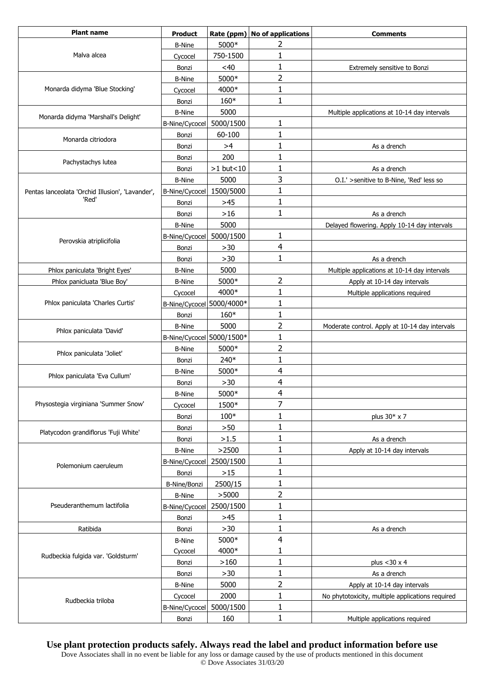| <b>Plant name</b>                                | <b>Product</b>            |             | Rate (ppm) No of applications | <b>Comments</b>                                  |
|--------------------------------------------------|---------------------------|-------------|-------------------------------|--------------------------------------------------|
|                                                  | <b>B-Nine</b>             | 5000*       | 2                             |                                                  |
| Malva alcea                                      | Cycocel                   | 750-1500    | 1                             |                                                  |
|                                                  | Bonzi                     | <40         | 1                             | Extremely sensitive to Bonzi                     |
|                                                  | <b>B-Nine</b>             | 5000*       | 2                             |                                                  |
| Monarda didyma 'Blue Stocking'                   | Cycocel                   | 4000*       | 1                             |                                                  |
|                                                  | Bonzi                     | 160*        | 1                             |                                                  |
| Monarda didyma 'Marshall's Delight'              | <b>B-Nine</b>             | 5000        |                               | Multiple applications at 10-14 day intervals     |
|                                                  | <b>B-Nine/Cycocel</b>     | 5000/1500   | 1                             |                                                  |
| Monarda citriodora                               | Bonzi                     | 60-100      | 1                             |                                                  |
|                                                  | Bonzi                     | >4          | 1                             | As a drench                                      |
| Pachystachys lutea                               | Bonzi                     | 200         | 1                             |                                                  |
|                                                  | Bonzi                     | $>1$ but<10 | 1                             | As a drench                                      |
|                                                  | <b>B-Nine</b>             | 5000        | 3                             | O.I.' >senitive to B-Nine, 'Red' less so         |
| Pentas lanceolata 'Orchid Illusion', 'Lavander', | B-Nine/Cycocel            | 1500/5000   | 1                             |                                                  |
| 'Red'                                            | Bonzi                     | $>45$       | 1                             |                                                  |
|                                                  | Bonzi                     | $>16$       | $\mathbf{1}$                  | As a drench                                      |
|                                                  | <b>B-Nine</b>             | 5000        |                               | Delayed flowering. Apply 10-14 day intervals     |
| Perovskia atriplicifolia                         | B-Nine/Cycocel            | 5000/1500   | 1                             |                                                  |
|                                                  | Bonzi                     | $>30$       | 4                             |                                                  |
|                                                  | Bonzi                     | $>30$       | 1                             | As a drench                                      |
| Phlox paniculata 'Bright Eyes'                   | <b>B-Nine</b>             | 5000        |                               | Multiple applications at 10-14 day intervals     |
| Phlox panicluata 'Blue Boy'                      | <b>B-Nine</b>             | 5000*       | 2                             | Apply at 10-14 day intervals                     |
|                                                  | Cycocel                   | 4000*       | 1                             | Multiple applications required                   |
| Phlox paniculata 'Charles Curtis'                | B-Nine/Cycocel 5000/4000* |             | 1                             |                                                  |
|                                                  | Bonzi                     | 160*        | 1                             |                                                  |
|                                                  | <b>B-Nine</b>             | 5000        | 2                             | Moderate control. Apply at 10-14 day intervals   |
| Phlox paniculata 'David'                         | B-Nine/Cycocel 5000/1500* |             | 1                             |                                                  |
|                                                  | <b>B-Nine</b>             | 5000*       | 2                             |                                                  |
| Phlox paniculata 'Joliet'                        | Bonzi                     | 240*        | 1                             |                                                  |
|                                                  | <b>B-Nine</b>             | 5000*       | 4                             |                                                  |
| Phlox paniculata 'Eva Cullum'                    | Bonzi                     | $>30$       | 4                             |                                                  |
|                                                  | <b>B-Nine</b>             | 5000*       | 4                             |                                                  |
| Physostegia virginiana 'Summer Snow'             | Cycocel                   | 1500*       | 7                             |                                                  |
|                                                  | Bonzi                     | $100*$      | 1                             | plus 30* x 7                                     |
|                                                  | Bonzi                     | >50         | 1                             |                                                  |
| Platycodon grandiflorus 'Fuji White'             | Bonzi                     | >1.5        | 1                             | As a drench                                      |
|                                                  | <b>B-Nine</b>             | >2500       | 1                             | Apply at 10-14 day intervals                     |
|                                                  | B-Nine/Cycocel            | 2500/1500   | 1                             |                                                  |
| Polemonium caeruleum                             | Bonzi                     | $>15$       | 1                             |                                                  |
|                                                  | B-Nine/Bonzi              | 2500/15     | 1                             |                                                  |
|                                                  | <b>B-Nine</b>             | >5000       | 2                             |                                                  |
| Pseuderanthemum lactifolia                       | B-Nine/Cycocel            | 2500/1500   | 1                             |                                                  |
|                                                  | Bonzi                     | $>45$       | $\mathbf{1}$                  |                                                  |
| Ratibida                                         | Bonzi                     | $>30$       | 1                             | As a drench                                      |
|                                                  | <b>B-Nine</b>             | 5000*       | $\overline{4}$                |                                                  |
|                                                  | Cycocel                   | 4000*       | 1                             |                                                  |
| Rudbeckia fulgida var. 'Goldsturm'               | Bonzi                     | >160        | 1                             | plus $<$ 30 $\times$ 4                           |
|                                                  | Bonzi                     | $>30$       | $\mathbf{1}$                  | As a drench                                      |
|                                                  | <b>B-Nine</b>             | 5000        | 2                             | Apply at 10-14 day intervals                     |
|                                                  | Cycocel                   | 2000        | 1                             | No phytotoxicity, multiple applications required |
| Rudbeckia triloba                                | B-Nine/Cycocel            | 5000/1500   | 1                             |                                                  |
|                                                  | Bonzi                     | 160         | 1                             | Multiple applications required                   |
|                                                  |                           |             |                               |                                                  |

### **Use plant protection products safely. Always read the label and product information before use**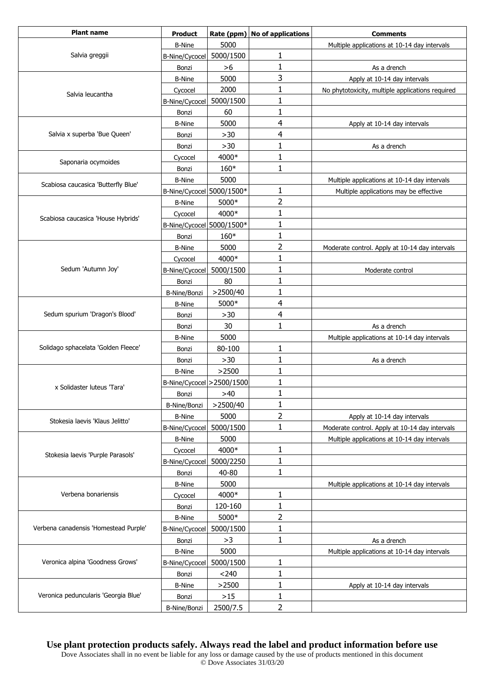| <b>Plant name</b>                     | <b>Product</b>             | Rate (ppm) | No of applications | <b>Comments</b>                                  |
|---------------------------------------|----------------------------|------------|--------------------|--------------------------------------------------|
| Salvia greggii                        | <b>B-Nine</b>              | 5000       |                    | Multiple applications at 10-14 day intervals     |
|                                       | B-Nine/Cycocel             | 5000/1500  | 1                  |                                                  |
|                                       | Bonzi                      | >6         | 1                  | As a drench                                      |
|                                       | <b>B-Nine</b>              | 5000       | 3                  | Apply at 10-14 day intervals                     |
| Salvia leucantha                      | Cycocel                    | 2000       | 1                  | No phytotoxicity, multiple applications required |
|                                       | B-Nine/Cycocel             | 5000/1500  | 1                  |                                                  |
|                                       | Bonzi                      | 60         | 1                  |                                                  |
|                                       | <b>B-Nine</b>              | 5000       | 4                  | Apply at 10-14 day intervals                     |
| Salvia x superba 'Bue Queen'          | Bonzi                      | $>30$      | $\overline{4}$     |                                                  |
|                                       | Bonzi                      | $>30$      | 1                  | As a drench                                      |
| Saponaria ocymoides                   | Cycocel                    | 4000*      | 1                  |                                                  |
|                                       | Bonzi                      | 160*       | $\mathbf{1}$       |                                                  |
| Scabiosa caucasica 'Butterfly Blue'   | <b>B-Nine</b>              | 5000       |                    | Multiple applications at 10-14 day intervals     |
|                                       | B-Nine/Cycocel 5000/1500*  |            | 1                  | Multiple applications may be effective           |
|                                       | <b>B-Nine</b>              | 5000*      | $\overline{2}$     |                                                  |
| Scabiosa caucasica 'House Hybrids'    | Cycocel                    | 4000*      | 1                  |                                                  |
|                                       | B-Nine/Cycocel 5000/1500*  |            | $\mathbf{1}$       |                                                  |
|                                       | Bonzi                      | 160*       | 1                  |                                                  |
|                                       | <b>B-Nine</b>              | 5000       | $\overline{2}$     | Moderate control. Apply at 10-14 day intervals   |
|                                       | Cycocel                    | 4000*      | $\mathbf{1}$       |                                                  |
| Sedum 'Autumn Joy'                    | B-Nine/Cycocel             | 5000/1500  | 1                  | Moderate control                                 |
|                                       | Bonzi                      | 80         | 1                  |                                                  |
|                                       | <b>B-Nine/Bonzi</b>        | >2500/40   | 1                  |                                                  |
|                                       | <b>B-Nine</b>              | 5000*      | 4                  |                                                  |
| Sedum spurium 'Dragon's Blood'        | Bonzi                      | >30        | 4                  |                                                  |
|                                       | Bonzi                      | 30         | $\mathbf{1}$       | As a drench                                      |
| Solidago sphacelata 'Golden Fleece'   | <b>B-Nine</b>              | 5000       |                    | Multiple applications at 10-14 day intervals     |
|                                       | Bonzi                      | 80-100     | 1                  |                                                  |
|                                       | Bonzi                      | $>30$      | 1                  | As a drench                                      |
| x Solidaster luteus 'Tara'            | <b>B-Nine</b>              | >2500      | 1                  |                                                  |
|                                       | B-Nine/Cycocel > 2500/1500 |            | $\mathbf{1}$       |                                                  |
|                                       | Bonzi                      | >40        | 1                  |                                                  |
|                                       | B-Nine/Bonzi               | >2500/40   | 1                  |                                                  |
| Stokesia laevis 'Klaus Jelitto'       | <b>B-Nine</b>              | 5000       | $\overline{2}$     | Apply at 10-14 day intervals                     |
|                                       | B-Nine/Cycocel             | 5000/1500  | $\mathbf{1}$       | Moderate control. Apply at 10-14 day intervals   |
| Stokesia laevis 'Purple Parasols'     | <b>B-Nine</b>              | 5000       |                    | Multiple applications at 10-14 day intervals     |
|                                       | Cycocel                    | 4000*      | $\mathbf{1}$       |                                                  |
|                                       | B-Nine/Cycocel             | 5000/2250  | $\mathbf{1}$       |                                                  |
|                                       | Bonzi                      | 40-80      | 1                  |                                                  |
| Verbena bonariensis                   | <b>B-Nine</b>              | 5000       |                    | Multiple applications at 10-14 day intervals     |
|                                       | Cycocel                    | 4000*      | 1                  |                                                  |
|                                       | Bonzi                      | 120-160    | $\mathbf{1}$       |                                                  |
| Verbena canadensis 'Homestead Purple' | <b>B-Nine</b>              | 5000*      | $\overline{2}$     |                                                  |
|                                       | B-Nine/Cycocel             | 5000/1500  | 1                  |                                                  |
|                                       | Bonzi                      | >3         | $\mathbf{1}$       | As a drench                                      |
| Veronica alpina 'Goodness Grows'      | <b>B-Nine</b>              | 5000       |                    | Multiple applications at 10-14 day intervals     |
|                                       | B-Nine/Cycocel             | 5000/1500  | $\mathbf{1}$       |                                                  |
|                                       | Bonzi                      | < 240      | $\mathbf{1}$       |                                                  |
| Veronica peduncularis 'Georgia Blue'  | <b>B-Nine</b>              | >2500      | 1                  | Apply at 10-14 day intervals                     |
|                                       | Bonzi                      | $>15$      | 1                  |                                                  |
|                                       | B-Nine/Bonzi               | 2500/7.5   | $\overline{2}$     |                                                  |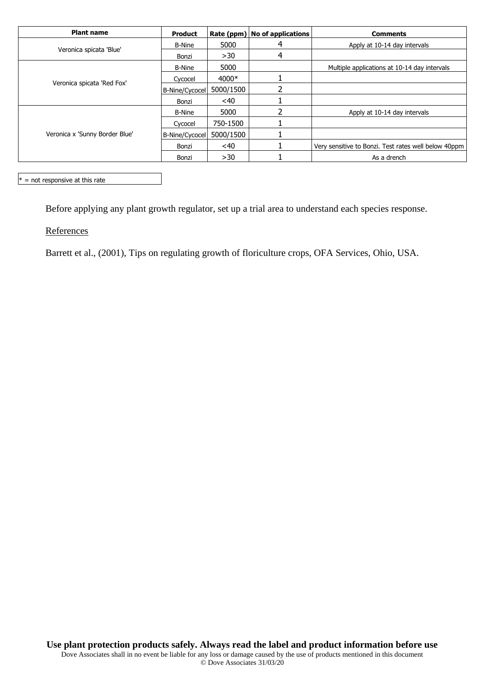| <b>Plant name</b>              | <b>Product</b> |           | Rate (ppm)   No of applications | <b>Comments</b>                                      |
|--------------------------------|----------------|-----------|---------------------------------|------------------------------------------------------|
| Veronica spicata 'Blue'        | <b>B-Nine</b>  | 5000      | 4                               | Apply at 10-14 day intervals                         |
|                                | Bonzi          | >30       | 4                               |                                                      |
| Veronica spicata 'Red Fox'     | <b>B-Nine</b>  | 5000      |                                 | Multiple applications at 10-14 day intervals         |
|                                | Cycocel        | 4000*     |                                 |                                                      |
|                                | B-Nine/Cycocel | 5000/1500 |                                 |                                                      |
|                                | Bonzi          | <40       |                                 |                                                      |
| Veronica x 'Sunny Border Blue' | <b>B-Nine</b>  | 5000      |                                 | Apply at 10-14 day intervals                         |
|                                | Cycocel        | 750-1500  |                                 |                                                      |
|                                | B-Nine/Cycocel | 5000/1500 |                                 |                                                      |
|                                | Bonzi          | <40       |                                 | Very sensitive to Bonzi. Test rates well below 40ppm |
|                                | Bonzi          | >30       |                                 | As a drench                                          |

 $* =$  not responsive at this rate

Before applying any plant growth regulator, set up a trial area to understand each species response.

**References** 

Barrett et al., (2001), Tips on regulating growth of floriculture crops, OFA Services, Ohio, USA.